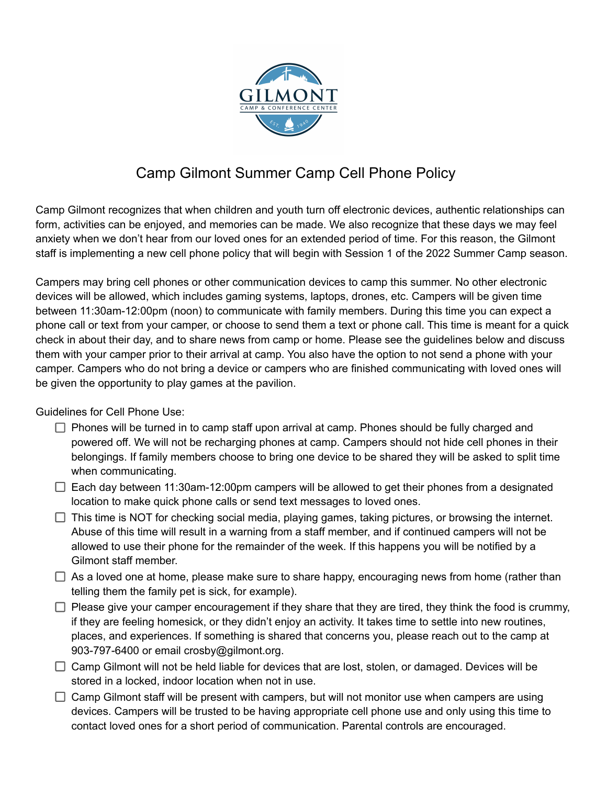

## Camp Gilmont Summer Camp Cell Phone Policy

Camp Gilmont recognizes that when children and youth turn off electronic devices, authentic relationships can form, activities can be enjoyed, and memories can be made. We also recognize that these days we may feel anxiety when we don't hear from our loved ones for an extended period of time. For this reason, the Gilmont staff is implementing a new cell phone policy that will begin with Session 1 of the 2022 Summer Camp season.

Campers may bring cell phones or other communication devices to camp this summer. No other electronic devices will be allowed, which includes gaming systems, laptops, drones, etc. Campers will be given time between 11:30am-12:00pm (noon) to communicate with family members. During this time you can expect a phone call or text from your camper, or choose to send them a text or phone call. This time is meant for a quick check in about their day, and to share news from camp or home. Please see the guidelines below and discuss them with your camper prior to their arrival at camp. You also have the option to not send a phone with your camper. Campers who do not bring a device or campers who are finished communicating with loved ones will be given the opportunity to play games at the pavilion.

Guidelines for Cell Phone Use:

- $\Box$  Phones will be turned in to camp staff upon arrival at camp. Phones should be fully charged and powered off. We will not be recharging phones at camp. Campers should not hide cell phones in their belongings. If family members choose to bring one device to be shared they will be asked to split time when communicating.
- $\Box$  Each day between 11:30am-12:00pm campers will be allowed to get their phones from a designated location to make quick phone calls or send text messages to loved ones.
- $\Box$  This time is NOT for checking social media, playing games, taking pictures, or browsing the internet. Abuse of this time will result in a warning from a staff member, and if continued campers will not be allowed to use their phone for the remainder of the week. If this happens you will be notified by a Gilmont staff member.
- $\Box$  As a loved one at home, please make sure to share happy, encouraging news from home (rather than telling them the family pet is sick, for example).
- $\Box$  Please give your camper encouragement if they share that they are tired, they think the food is crummy, if they are feeling homesick, or they didn't enjoy an activity. It takes time to settle into new routines, places, and experiences. If something is shared that concerns you, please reach out to the camp at 903-797-6400 or email crosby@gilmont.org.
- $\Box$  Camp Gilmont will not be held liable for devices that are lost, stolen, or damaged. Devices will be stored in a locked, indoor location when not in use.
- $\Box$  Camp Gilmont staff will be present with campers, but will not monitor use when campers are using devices. Campers will be trusted to be having appropriate cell phone use and only using this time to contact loved ones for a short period of communication. Parental controls are encouraged.